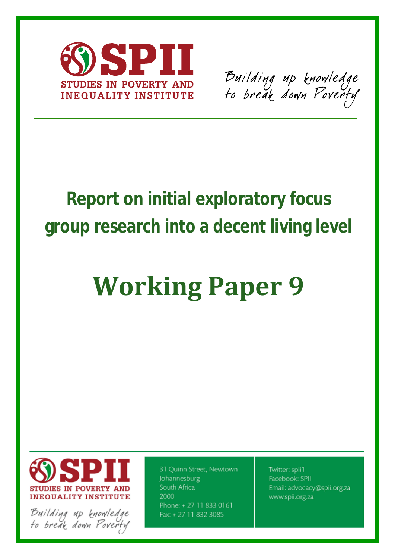

Building up knowledge<br>to break down Poverty

# **Report on initial exploratory focus group research into a decent living level**

# **Working Paper 9**



Building up knowledge<br>Fo break down Poverfy

31 Quinn Street, Newtown Johannesburg South Africa 2000 Phone: +27 11 833 0161 Fax: + 27 11 832 3085

Twitter: spii1 Facebook: SPII Email: advocacy@spii.org.za www.spii.org.za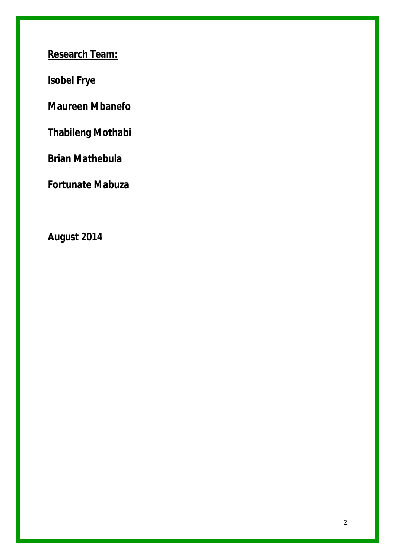**Research Team:**

**Isobel Frye**

**Maureen Mbanefo**

**Thabileng Mothabi**

**Brian Mathebula**

**Fortunate Mabuza**

**August 2014**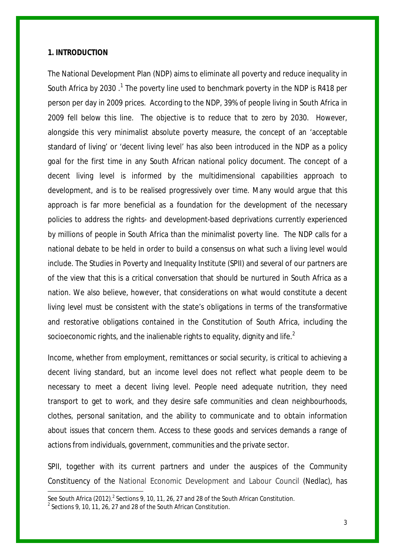#### **1. INTRODUCTION**

 $\overline{a}$ 

The National Development Plan (NDP) aims to eliminate all poverty and reduce inequality in South Africa by 2030 .<sup>[1](#page-2-0)</sup> The poverty line used to benchmark poverty in the NDP is R418 per person per day in 2009 prices. According to the NDP, 39% of people living in South Africa in 2009 fell below this line. The objective is to reduce that to zero by 2030. However, alongside this very minimalist absolute poverty measure, the concept of an 'acceptable standard of living' or 'decent living level' has also been introduced in the NDP as a policy goal for the first time in any South African national policy document. The concept of a decent living level is informed by the multidimensional capabilities approach to development, and is to be realised progressively over time. Many would argue that this approach is far more beneficial as a foundation for the development of the necessary policies to address the rights- and development-based deprivations currently experienced by millions of people in South Africa than the minimalist poverty line. The NDP calls for a national debate to be held in order to build a consensus on what such a living level would include. The Studies in Poverty and Inequality Institute (SPII) and several of our partners are of the view that this is a critical conversation that should be nurtured in South Africa as a nation. We also believe, however, that considerations on what would constitute a *decent living level* must be consistent with the state's obligations in terms of the transformative and restorative obligations contained in the Constitution of South Africa, including the socioeconomic rights, and the inalienable rights to equality, dignity and life. $^{\text{2}}$  $^{\text{2}}$  $^{\text{2}}$ 

Income, whether from employment, remittances or social security, is critical to achieving a decent living standard, but an income level does not reflect *what* people deem to be necessary to meet a decent living level. People need adequate nutrition, they need transport to get to work, and they desire safe communities and clean neighbourhoods, clothes, personal sanitation, and the ability to communicate and to obtain information about issues that concern them. Access to these goods and services demands a range of actions from individuals, government, communities and the private sector.

SPII, together with its current partners and under the auspices of the Community Constituency of the National Economic Development and Labour Council (Nedlac), has

<span id="page-2-1"></span><span id="page-2-0"></span>See South Africa (2012).<sup>2</sup> Sections 9, 10, 11, 26, 27 and 28 of the South African Constitution. <sup>2</sup> Sections 9, 10, 11, 26, 27 and 28 of the South African Constitution.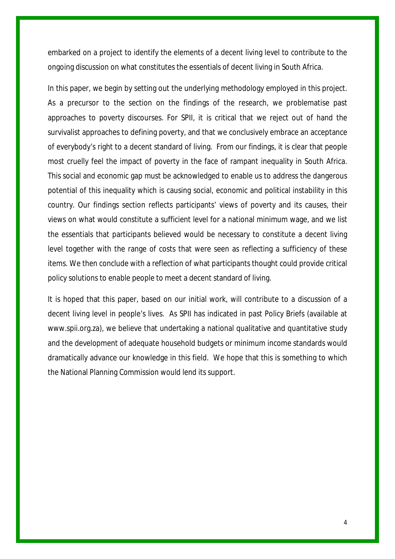embarked on a project to identify the elements of a decent living level to contribute to the ongoing discussion on what constitutes the essentials of decent living in South Africa.

In this paper, we begin by setting out the underlying methodology employed in this project. As a precursor to the section on the findings of the research, we problematise past approaches to poverty discourses. For SPII, it is critical that we reject out of hand the survivalist approaches to defining poverty, and that we conclusively embrace an acceptance of everybody's right to a decent standard of living. From our findings, it is clear that people most cruelly feel the impact of poverty in the face of rampant inequality in South Africa. This social and economic gap must be acknowledged to enable us to address the dangerous potential of this inequality which is causing social, economic and political instability in this country. Our findings section reflects participants' views of poverty and its causes, their views on what would constitute a sufficient level for a national minimum wage, and we list the essentials that participants believed would be necessary to constitute a decent living level together with the range of costs that were seen as reflecting a sufficiency of these items. We then conclude with a reflection of what participants thought could provide critical policy solutions to enable people to meet a decent standard of living.

It is hoped that this paper, based on our initial work, will contribute to a discussion of a decent living level in people's lives. As SPII has indicated in past Policy Briefs (available at www.spii.org.za), we believe that undertaking a national qualitative and quantitative study and the development of adequate household budgets or minimum income standards would dramatically advance our knowledge in this field. We hope that this is something to which the National Planning Commission would lend its support.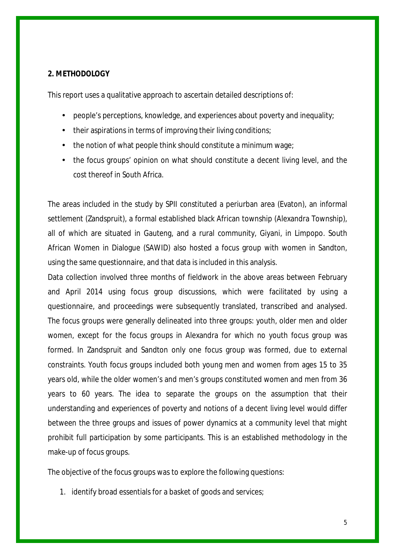## **2. METHODOLOGY**

This report uses a qualitative approach to ascertain detailed descriptions of:

- people's perceptions, knowledge, and experiences about poverty and inequality;
- their aspirations in terms of improving their living conditions;
- the notion of what people think should constitute a minimum wage;  $\sim$
- the focus groups' opinion on what should constitute a decent living level, and the  $\mathbf{L}^{\text{max}}$ cost thereof in South Africa.

The areas included in the study by SPII constituted a periurban area (Evaton), an informal settlement (Zandspruit), a formal established black African township (Alexandra Township), all of which are situated in Gauteng, and a rural community, Giyani, in Limpopo. South African Women in Dialogue (SAWID) also hosted a focus group with women in Sandton, using the same questionnaire, and that data is included in this analysis.

Data collection involved three months of fieldwork in the above areas between February and April 2014 using focus group discussions, which were facilitated by using a questionnaire, and proceedings were subsequently translated, transcribed and analysed. The focus groups were generally delineated into three groups: youth, older men and older women, except for the focus groups in Alexandra for which no youth focus group was formed. In Zandspruit and Sandton only one focus group was formed, due to external constraints. Youth focus groups included both young men and women from ages 15 to 35 years old, while the older women's and men's groups constituted women and men from 36 years to 60 years. The idea to separate the groups on the assumption that their understanding and experiences of poverty and notions of a decent living level would differ between the three groups and issues of power dynamics at a community level that might prohibit full participation by some participants. This is an established methodology in the make-up of focus groups.

The objective of the focus groups was to explore the following questions:

1. identify broad essentials for a basket of goods and services;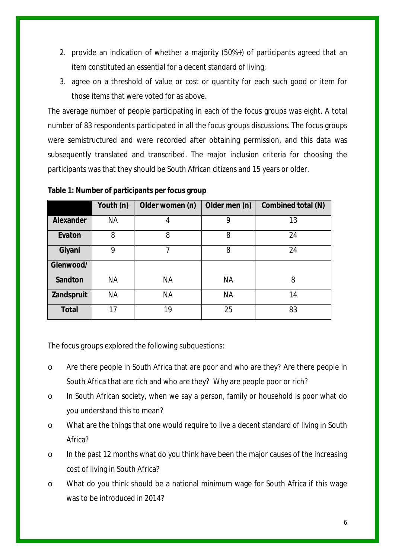- 2. provide an indication of whether a majority (50%+) of participants agreed that an item constituted an essential for a decent standard of living;
- 3. agree on a threshold of value or cost or quantity for each such good or item for those items that were voted for as above.

The average number of people participating in each of the focus groups was eight. A total number of 83 respondents participated in all the focus groups discussions. The focus groups were semistructured and were recorded after obtaining permission, and this data was subsequently translated and transcribed. The major inclusion criteria for choosing the participants was that they should be South African citizens and 15 years or older.

|              | Youth (n) | Older women (n) | Older men (n) | Combined total (N) |
|--------------|-----------|-----------------|---------------|--------------------|
| Alexander    | <b>NA</b> | 4               | 9             | 13                 |
| Evaton       | 8         | 8               | 8             | 24                 |
| Giyani       | 9         | 7               | 8             | 24                 |
| Glenwood/    |           |                 |               |                    |
| Sandton      | <b>NA</b> | <b>NA</b>       | <b>NA</b>     | 8                  |
| Zandspruit   | <b>NA</b> | <b>NA</b>       | <b>NA</b>     | 14                 |
| <b>Total</b> | 17        | 19              | 25            | 83                 |

**Table 1: Number of participants per focus group** 

The focus groups explored the following subquestions:

- o Are there people in South Africa that are poor and who are they? Are there people in South Africa that are rich and who are they? Why are people poor or rich?
- o In South African society, when we say a person, family or household is poor what do you understand this to mean?
- o What are the things that one would require to live a decent standard of living in South Africa?
- o In the past 12 months what do you think have been the major causes of the increasing cost of living in South Africa?
- o What do you think should be a national minimum wage for South Africa if this wage was to be introduced in 2014?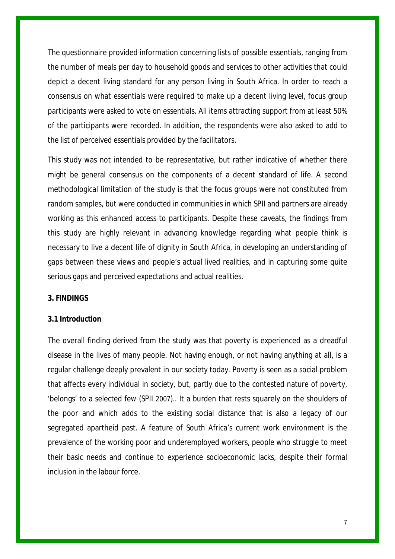The questionnaire provided information concerning lists of possible essentials, ranging from the number of meals per day to household goods and services to other activities that could depict a decent living standard for any person living in South Africa. In order to reach a consensus on what essentials were required to make up a decent living level, focus group participants were asked to vote on essentials. All items attracting support from at least 50% of the participants were recorded. In addition, the respondents were also asked to add to the list of perceived essentials provided by the facilitators.

This study was not intended to be representative, but rather indicative of whether there might be general consensus on the components of a decent standard of life. A second methodological limitation of the study is that the focus groups were not constituted from random samples, but were conducted in communities in which SPII and partners are already working as this enhanced access to participants. Despite these caveats, the findings from this study are highly relevant in advancing knowledge regarding what people think is necessary to live a decent life of dignity in South Africa, in developing an understanding of gaps between these views and people's actual lived realities, and in capturing some quite serious gaps and perceived expectations and actual realities.

## **3. FINDINGS**

#### **3.1 Introduction**

The overall finding derived from the study was that poverty is experienced as a dreadful disease in the lives of many people. Not having enough, or not having anything at all, is a regular challenge deeply prevalent in our society today. Poverty is seen as a social problem that affects every individual in society, but, partly due to the contested nature of poverty, 'belongs' to a selected few (SPII 2007).. It a burden that rests squarely on the shoulders of the poor and which adds to the existing social distance that is also a legacy of our segregated apartheid past. A feature of South Africa's current work environment is the prevalence of the working poor and underemployed workers, people who struggle to meet their basic needs and continue to experience socioeconomic lacks, despite their formal inclusion in the labour force.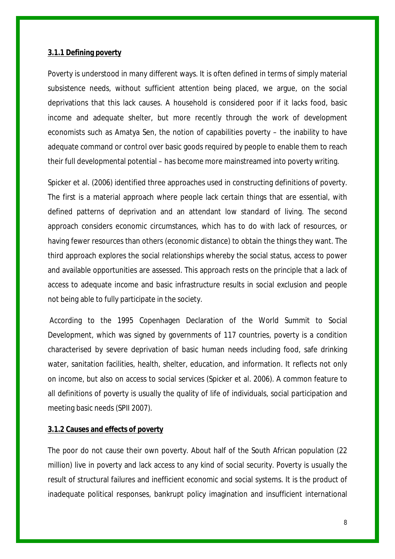#### **3.1.1 Defining poverty**

Poverty is understood in many different ways. It is often defined in terms of simply material subsistence needs, without sufficient attention being placed, we argue, on the social deprivations that this lack causes. A household is considered poor if it lacks food, basic income and adequate shelter, but more recently through the work of development economists such as Amatya Sen, the notion of capabilities poverty – the inability to have adequate command or control over basic goods required by people to enable them to reach their full developmental potential – has become more mainstreamed into poverty writing.

Spicker et al. (2006) identified three approaches used in constructing definitions of poverty. The first is a material approach where people lack certain things that are essential, with defined patterns of deprivation and an attendant low standard of living. The second approach considers economic circumstances, which has to do with lack of resources, or having fewer resources than others (economic distance) to obtain the things they want. The third approach explores the social relationships whereby the social status, access to power and available opportunities are assessed. This approach rests on the principle that a lack of access to adequate income and basic infrastructure results in social exclusion and people not being able to fully participate in the society.

According to the 1995 Copenhagen Declaration of the World Summit to Social Development, which was signed by governments of 117 countries, poverty is a condition characterised by severe deprivation of basic human needs including food, safe drinking water, sanitation facilities, health, shelter, education, and information. It reflects not only on income, but also on access to social services (Spicker et al. 2006). A common feature to all definitions of poverty is usually the quality of life of individuals, social participation and meeting basic needs (SPII 2007).

#### **3.1.2 Causes and effects of poverty**

The poor do not cause their own poverty. About half of the South African population (22 million) live in poverty and lack access to any kind of social security. Poverty is usually the result of structural failures and inefficient economic and social systems. It is the product of inadequate political responses, bankrupt policy imagination and insufficient international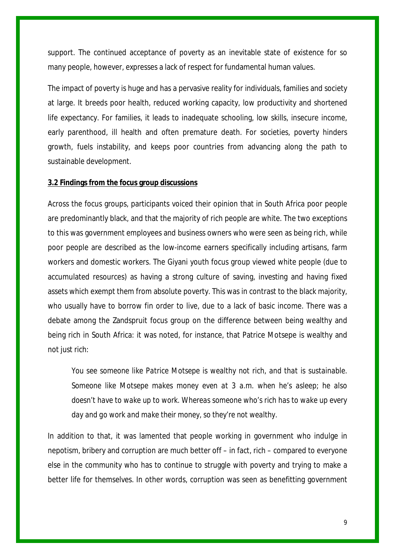support. The continued acceptance of poverty as an inevitable state of existence for so many people, however, expresses a lack of respect for fundamental human values.

The impact of poverty is huge and has a pervasive reality for individuals, families and society at large. It breeds poor health, reduced working capacity, low productivity and shortened life expectancy. For families, it leads to inadequate schooling, low skills, insecure income, early parenthood, ill health and often premature death. For societies, poverty hinders growth, fuels instability, and keeps poor countries from advancing along the path to sustainable development.

#### **3.2 Findings from the focus group discussions**

Across the focus groups, participants voiced their opinion that in South Africa poor people are predominantly black, and that the majority of rich people are white. The two exceptions to this was government employees and business owners who were seen as being rich, while poor people are described as the low-income earners specifically including artisans, farm workers and domestic workers. The Giyani youth focus group viewed white people (due to accumulated resources) as having a strong culture of saving, investing and having fixed assets which exempt them from absolute poverty. This was in contrast to the black majority, who usually have to borrow fin order to live, due to a lack of basic income. There was a debate among the Zandspruit focus group on the difference between being wealthy and being rich in South Africa: it was noted, for instance, that Patrice Motsepe is wealthy and not just rich:

*You see someone like Patrice Motsepe is wealthy not rich, and that is sustainable. Someone like Motsepe makes money even at 3 a.m. when he's asleep; he also doesn't have to wake up to work. Whereas someone who's rich has to wake up every day and go work and make their money, so they're not wealthy.*

In addition to that, it was lamented that people working in government who indulge in nepotism, bribery and corruption are much better off – in fact, rich – compared to everyone else in the community who has to continue to struggle with poverty and trying to make a better life for themselves. In other words, corruption was seen as benefitting government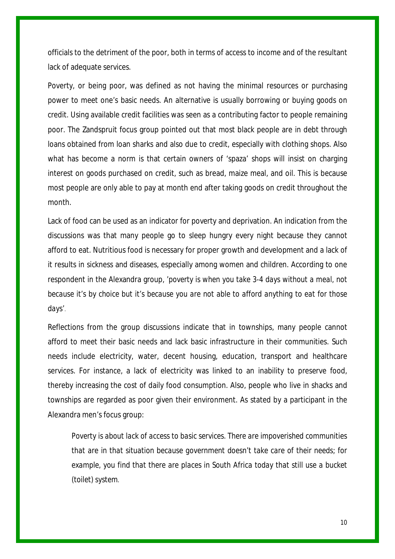officials to the detriment of the poor, both in terms of access to income and of the resultant lack of adequate services.

Poverty, or being poor, was defined as not having the minimal resources or purchasing power to meet one's basic needs. An alternative is usually borrowing or buying goods on credit. Using available credit facilities was seen as a contributing factor to people remaining poor. The Zandspruit focus group pointed out that most black people are in debt through loans obtained from loan sharks and also due to credit, especially with clothing shops. Also what has become a norm is that certain owners of 'spaza' shops will insist on charging interest on goods purchased on credit, such as bread, maize meal, and oil. This is because most people are only able to pay at month end after taking goods on credit throughout the month.

Lack of food can be used as an indicator for poverty and deprivation. An indication from the discussions was that many people go to sleep hungry every night because they cannot afford to eat. Nutritious food is necessary for proper growth and development and a lack of it results in sickness and diseases, especially among women and children. According to one respondent in the Alexandra group, '*poverty is when you take 3-4 days without a meal, not because it's by choice but it's because you are not able to afford anything to eat for those days'.*

Reflections from the group discussions indicate that in townships, many people cannot afford to meet their basic needs and lack basic infrastructure in their communities. Such needs include electricity, water, decent housing, education, transport and healthcare services. For instance, a lack of electricity was linked to an inability to preserve food, thereby increasing the cost of daily food consumption. Also, people who live in shacks and townships are regarded as poor given their environment. As stated by a participant in the Alexandra men's focus group:

*Poverty is about lack of access to basic services. There are impoverished communities that are in that situation because government doesn't take care of their needs; for example, you find that there are places in South Africa today that still use a bucket (toilet) system.*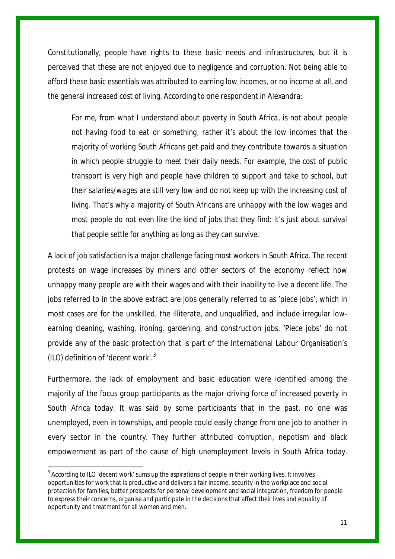Constitutionally, people have rights to these basic needs and infrastructures, but it is perceived that these are not enjoyed due to negligence and corruption. Not being able to afford these basic essentials was attributed to earning low incomes, or no income at all, and the general increased cost of living. According to one respondent in Alexandra:

*For me, from what I understand about poverty in South Africa, is not about people not having food to eat or something, rather it's about the low incomes that the majority of working South Africans get paid and they contribute towards a situation in which people struggle to meet their daily needs. For example, the cost of public transport is very high and people have children to support and take to school, but their salaries/wages are still very low and do not keep up with the increasing cost of living. That's why a majority of South Africans are unhappy with the low wages and most people do not even like the kind of jobs that they find: it's just about survival that people settle for anything as long as they can survive.*

A lack of job satisfaction is a major challenge facing most workers in South Africa. The recent protests on wage increases by miners and other sectors of the economy reflect how unhappy many people are with their wages and with their inability to live a decent life. The jobs referred to in the above extract are jobs generally referred to as 'piece jobs', which in most cases are for the unskilled, the illiterate, and unqualified, and include irregular lowearning cleaning, washing, ironing, gardening, and construction jobs. 'Piece jobs' do not provide any of the basic protection that is part of the International Labour Organisation's (ILO) definition of 'decent work'. $3$ 

Furthermore, the lack of employment and basic education were identified among the majority of the focus group participants as the major driving force of increased poverty in South Africa today. It was said by some participants that in the past, no one was unemployed, even in townships, and people could easily change from one job to another in every sector in the country. They further attributed corruption, nepotism and black empowerment as part of the cause of high unemployment levels in South Africa today.

<span id="page-10-0"></span><sup>&</sup>lt;sup>3</sup> According to ILO 'decent work' sums up the aspirations of people in their working lives. It involves opportunities for work that is productive and delivers a fair income, security in the workplace and social protection for families, better prospects for personal development and social integration, freedom for people to express their concerns, organise and participate in the decisions that affect their lives and equality of opportunity and treatment for all women and men.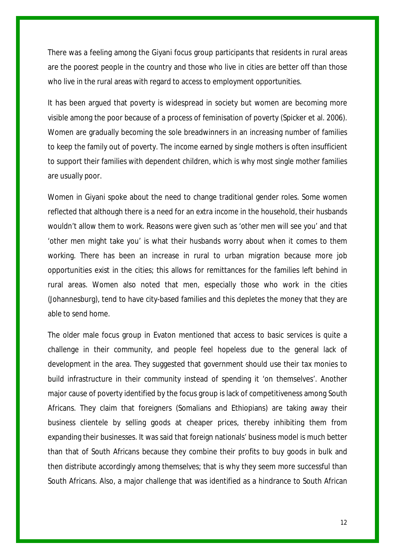There was a feeling among the Giyani focus group participants that residents in rural areas are the poorest people in the country and those who live in cities are better off than those who live in the rural areas with regard to access to employment opportunities.

It has been argued that poverty is widespread in society but women are becoming more visible among the poor because of a process of feminisation of poverty (Spicker et al. 2006). Women are gradually becoming the sole breadwinners in an increasing number of families to keep the family out of poverty. The income earned by single mothers is often insufficient to support their families with dependent children, which is why most single mother families are usually poor.

Women in Giyani spoke about the need to change traditional gender roles. Some women reflected that although there is a need for an extra income in the household, their husbands wouldn't allow them to work. Reasons were given such as 'other men will see you' and that 'other men might take you' is what their husbands worry about when it comes to them working. There has been an increase in rural to urban migration because more job opportunities exist in the cities; this allows for remittances for the families left behind in rural areas. Women also noted that men, especially those who work in the cities (Johannesburg), tend to have city-based families and this depletes the money that they are able to send home.

The older male focus group in Evaton mentioned that access to basic services is quite a challenge in their community, and people feel hopeless due to the general lack of development in the area. They suggested that government should use their tax monies to build infrastructure in their community instead of spending it 'on themselves'. Another major cause of poverty identified by the focus group is lack of competitiveness among South Africans. They claim that foreigners (Somalians and Ethiopians) are taking away their business clientele by selling goods at cheaper prices, thereby inhibiting them from expanding their businesses. It was said that foreign nationals' business model is much better than that of South Africans because they combine their profits to buy goods in bulk and then distribute accordingly among themselves; that is why they seem more successful than South Africans. Also, a major challenge that was identified as a hindrance to South African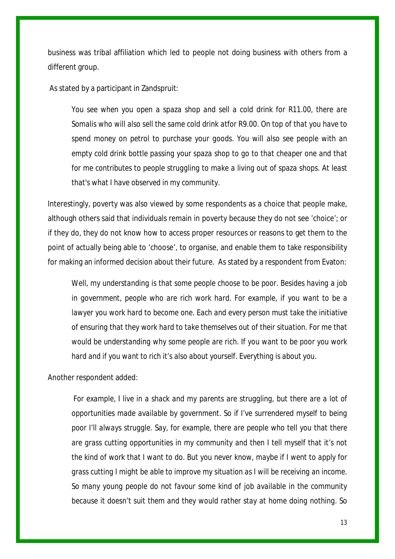business was tribal affiliation which led to people not doing business with others from a different group.

As stated by a participant in Zandspruit:

*You see when you open a spaza shop and sell a cold drink for R11.00, there are Somalis who will also sell the same cold drink atfor R9.00. On top of that you have to spend money on petrol to purchase your goods. You will also see people with an empty cold drink bottle passing your spaza shop to go to that cheaper one and that for me contributes to people struggling to make a living out of spaza shops. At least that's what I have observed in my community.*

Interestingly, poverty was also viewed by some respondents as a choice that people make, although others said that individuals remain in poverty because they do not see 'choice'; or if they do, they do not know how to access proper resources or reasons to get them to the point of actually being able to 'choose', to organise, and enable them to take responsibility for making an informed decision about their future. As stated by a respondent from Evaton:

*Well, my understanding is that some people choose to be poor. Besides having a job in government, people who are rich work hard. For example, if you want to be a lawyer you work hard to become one. Each and every person must take the initiative of ensuring that they work hard to take themselves out of their situation. For me that would be understanding why some people are rich. If you want to be poor you work hard and if you want to rich it's also about yourself. Everything is about you.*

Another respondent added:

*For example, I live in a shack and my parents are struggling, but there are a lot of opportunities made available by government. So if I've surrendered myself to being poor I'll always struggle. Say, for example, there are people who tell you that there are grass cutting opportunities in my community and then I tell myself that it's not the kind of work that I want to do. But you never know, maybe if I went to apply for grass cutting I might be able to improve my situation as I will be receiving an income. So many young people do not favour some kind of job available in the community because it doesn't suit them and they would rather stay at home doing nothing. So*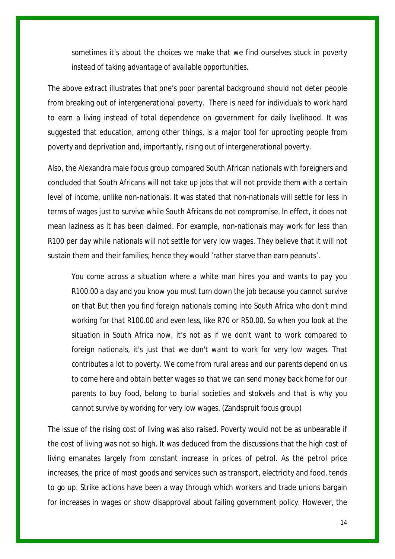*sometimes it's about the choices we make that we find ourselves stuck in poverty instead of taking advantage of available opportunities.*

The above extract illustrates that one's poor parental background should not deter people from breaking out of intergenerational poverty. There is need for individuals to work hard to earn a living instead of total dependence on government for daily livelihood. It was suggested that education, among other things, is a major tool for uprooting people from poverty and deprivation and, importantly, rising out of intergenerational poverty.

Also, the Alexandra male focus group compared South African nationals with foreigners and concluded that South Africans will not take up jobs that will not provide them with a certain level of income, unlike non-nationals. It was stated that non-nationals will settle for less in terms of wages just to survive while South Africans do not compromise. In effect, it does not mean laziness as it has been claimed. For example, non-nationals may work for less than R100 per day while nationals will not settle for very low wages. They believe that it will not sustain them and their families; hence they would 'rather starve than earn peanuts'.

*You come across a situation where a white man hires you and wants to pay you R100.00 a day and you know you must turn down the job because you cannot survive on that But then you find foreign nationals coming into South Africa who don't mind working for that R100.00 and even less, like R70 or R50.00. So when you look at the situation in South Africa now, it's not as if we don't want to work compared to foreign nationals, it's just that we don't want to work for very low wages. That contributes a lot to poverty. We come from rural areas and our parents depend on us to come here and obtain better wages so that we can send money back home for our parents to buy food, belong to burial societies and stokvels and that is why you cannot survive by working for very low wages.* (Zandspruit focus group)

The issue of the rising cost of living was also raised. Poverty would not be as unbearable if the cost of living was not so high. It was deduced from the discussions that the high cost of living emanates largely from constant increase in prices of petrol. As the petrol price increases, the price of most goods and services such as transport, electricity and food, tends to go up. Strike actions have been a way through which workers and trade unions bargain for increases in wages or show disapproval about failing government policy. However, the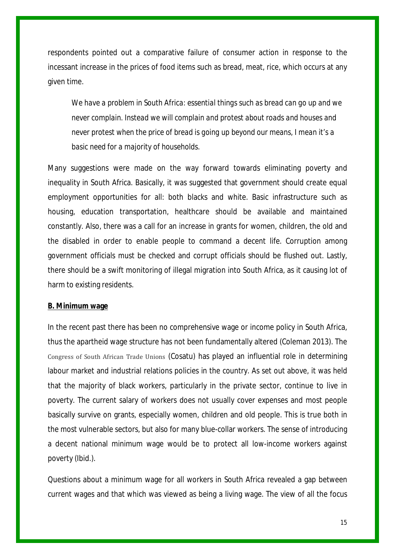respondents pointed out a comparative failure of consumer action in response to the incessant increase in the prices of food items such as bread, meat, rice, which occurs at any given time.

*We have a problem in South Africa: essential things such as bread can go up and we never complain. Instead we will complain and protest about roads and houses and never protest when the price of bread is going up beyond our means, I mean it's a basic need for a majority of households.*

Many suggestions were made on the way forward towards eliminating poverty and inequality in South Africa. Basically, it was suggested that government should create equal employment opportunities for all: both blacks and white. Basic infrastructure such as housing, education transportation, healthcare should be available and maintained constantly. Also, there was a call for an increase in grants for women, children, the old and the disabled in order to enable people to command a decent life. Corruption among government officials must be checked and corrupt officials should be flushed out. Lastly, there should be a swift monitoring of illegal migration into South Africa, as it causing lot of harm to existing residents.

#### **B. Minimum wage**

In the recent past there has been no comprehensive wage or income policy in South Africa, thus the apartheid wage structure has not been fundamentally altered (Coleman 2013). The Congress of South African Trade Unions (Cosatu) has played an influential role in determining labour market and industrial relations policies in the country. As set out above, it was held that the majority of black workers, particularly in the private sector, continue to live in poverty. The current salary of workers does not usually cover expenses and most people basically survive on grants, especially women, children and old people. This is true both in the most vulnerable sectors, but also for many blue-collar workers. The sense of introducing a decent national minimum wage would be to protect all low-income workers against poverty (Ibid.).

Questions about a minimum wage for all workers in South Africa revealed a gap between current wages and that which was viewed as being a living wage. The view of all the focus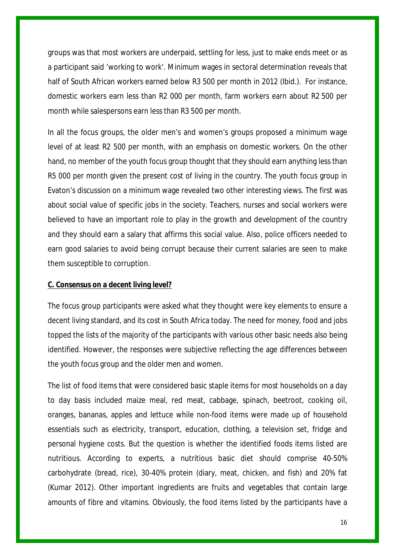groups was that most workers are underpaid, settling for less, just to make ends meet or as a participant said 'working to work'. Minimum wages in sectoral determination reveals that half of South African workers earned below R3 500 per month in 2012 (Ibid.). For instance, domestic workers earn less than R2 000 per month, farm workers earn about R2 500 per month while salespersons earn less than R3 500 per month.

In all the focus groups, the older men's and women's groups proposed a minimum wage level of at least R2 500 per month, with an emphasis on domestic workers. On the other hand, no member of the youth focus group thought that they should earn anything less than R5 000 per month given the present cost of living in the country. The youth focus group in Evaton's discussion on a minimum wage revealed two other interesting views. The first was about social value of specific jobs in the society. Teachers, nurses and social workers were believed to have an important role to play in the growth and development of the country and they should earn a salary that affirms this social value. Also, police officers needed to earn good salaries to avoid being corrupt because their current salaries are seen to make them susceptible to corruption.

#### **C. Consensus on a decent living level?**

The focus group participants were asked what they thought were key elements to ensure a decent living standard, and its cost in South Africa today. The need for money, food and jobs topped the lists of the majority of the participants with various other basic needs also being identified. However, the responses were subjective reflecting the age differences between the youth focus group and the older men and women.

The list of food items that were considered basic staple items for most households on a day to day basis included maize meal, red meat, cabbage, spinach, beetroot, cooking oil, oranges, bananas, apples and lettuce while non-food items were made up of household essentials such as electricity, transport, education, clothing, a television set, fridge and personal hygiene costs. But the question is whether the identified foods items listed are nutritious. According to experts, a nutritious basic diet should comprise 40-50% carbohydrate (bread, rice), 30-40% protein (diary, meat, chicken, and fish) and 20% fat (Kumar 2012). Other important ingredients are fruits and vegetables that contain large amounts of fibre and vitamins. Obviously, the food items listed by the participants have a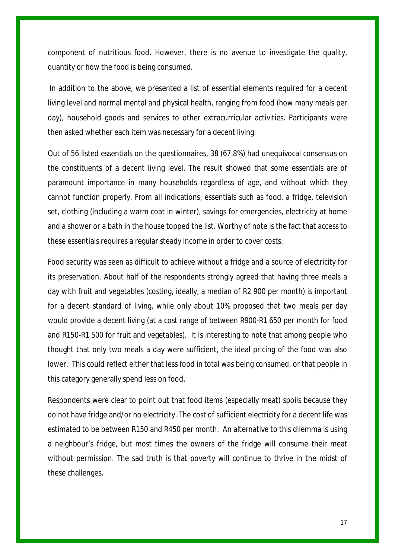component of nutritious food. However, there is no avenue to investigate the quality, quantity or how the food is being consumed.

In addition to the above, we presented a list of essential elements required for a decent living level and normal mental and physical health, ranging from food (how many meals per day), household goods and services to other extracurricular activities. Participants were then asked whether each item was necessary for a decent living.

Out of 56 listed essentials on the questionnaires, 38 (67.8%) had unequivocal consensus on the constituents of a decent living level. The result showed that some essentials are of paramount importance in many households regardless of age, and without which they cannot function properly. From all indications, essentials such as food, a fridge, television set, clothing (including a warm coat in winter), savings for emergencies, electricity at home and a shower or a bath in the house topped the list. Worthy of note is the fact that access to these essentials requires a regular steady income in order to cover costs.

Food security was seen as difficult to achieve without a fridge and a source of electricity for its preservation. About half of the respondents strongly agreed that having three meals a day with fruit and vegetables (costing, ideally, a median of R2 900 per month) is important for a decent standard of living, while only about 10% proposed that two meals per day would provide a decent living (at a cost range of between R900-R1 650 per month for food and R150-R1 500 for fruit and vegetables). It is interesting to note that among people who thought that only two meals a day were sufficient, the ideal pricing of the food was also lower. This could reflect either that less food in total was being consumed, or that people in this category generally spend less on food.

Respondents were clear to point out that food items (especially meat) spoils because they do not have fridge and/or no electricity. The cost of sufficient electricity for a decent life was estimated to be between R150 and R450 per month. An alternative to this dilemma is using a neighbour's fridge, but most times the owners of the fridge will consume their meat without permission. The sad truth is that poverty will continue to thrive in the midst of these challenges.

17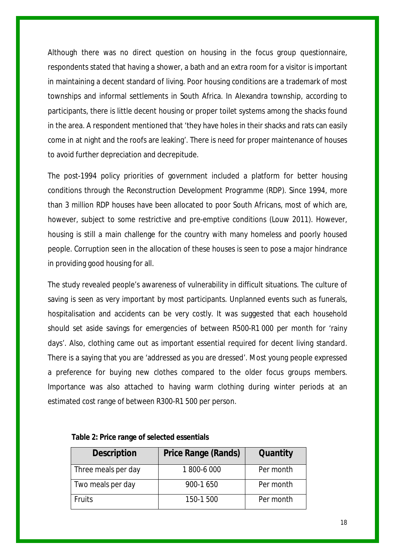Although there was no direct question on housing in the focus group questionnaire, respondents stated that having a shower, a bath and an extra room for a visitor is important in maintaining a decent standard of living. Poor housing conditions are a trademark of most townships and informal settlements in South Africa. In Alexandra township, according to participants, there is little decent housing or proper toilet systems among the shacks found in the area. A respondent mentioned that *'*they have holes in their shacks and rats can easily come in at night and the roofs are leaking*'.* There is need for proper maintenance of houses to avoid further depreciation and decrepitude.

The post-1994 policy priorities of government included a platform for better housing conditions through the Reconstruction Development Programme (RDP). Since 1994, more than 3 million RDP houses have been allocated to poor South Africans, most of which are, however, subject to some restrictive and pre-emptive conditions (Louw 2011). However, housing is still a main challenge for the country with many homeless and poorly housed people. Corruption seen in the allocation of these houses is seen to pose a major hindrance in providing good housing for all.

The study revealed people's awareness of vulnerability in difficult situations. The culture of saving is seen as very important by most participants. Unplanned events such as funerals, hospitalisation and accidents can be very costly. It was suggested that each household should set aside savings for emergencies of between R500-R1 000 per month for 'rainy days'. Also, clothing came out as important essential required for decent living standard. There is a saying that you are 'addressed as you are dressed'. Most young people expressed a preference for buying new clothes compared to the older focus groups members. Importance was also attached to having warm clothing during winter periods at an estimated cost range of between R300-R1 500 per person.

| <b>Description</b>  | <b>Price Range (Rands)</b> | Quantity  |
|---------------------|----------------------------|-----------|
| Three meals per day | 1800-6000                  | Per month |
| Two meals per day   | 900-1 650                  | Per month |
| <b>Fruits</b>       | 150-1 500                  | Per month |

#### **Table 2: Price range of selected essentials**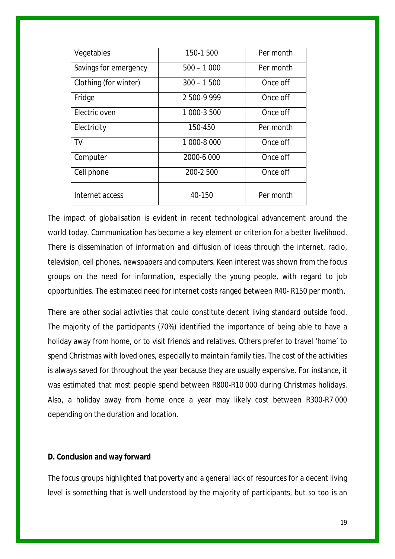| Vegetables            | 150-1 500    | Per month |
|-----------------------|--------------|-----------|
| Savings for emergency | $500 - 1000$ | Per month |
| Clothing (for winter) | $300 - 1500$ | Once off  |
| Fridge                | 2500-9999    | Once off  |
| Electric oven         | 1 000-3 500  | Once off  |
| Electricity           | 150-450      | Per month |
| TV                    | 1 000-8 000  | Once off  |
| Computer              | 2000-6 000   | Once off  |
| Cell phone            | 200-2 500    | Once off  |
| Internet access       | 40-150       | Per month |

The impact of globalisation is evident in recent technological advancement around the world today. Communication has become a key element or criterion for a better livelihood. There is dissemination of information and diffusion of ideas through the internet, radio, television, cell phones, newspapers and computers. Keen interest was shown from the focus groups on the need for information, especially the young people, with regard to job opportunities. The estimated need for internet costs ranged between R40- R150 per month.

There are other social activities that could constitute decent living standard outside food. The majority of the participants (70%) identified the importance of being able to have a holiday away from home, or to visit friends and relatives. Others prefer to travel 'home' to spend Christmas with loved ones, especially to maintain family ties. The cost of the activities is always saved for throughout the year because they are usually expensive. For instance, it was estimated that most people spend between R800-R10 000 during Christmas holidays. Also, a holiday away from home once a year may likely cost between R300-R7 000 depending on the duration and location.

#### **D. Conclusion and way forward**

The focus groups highlighted that poverty and a general lack of resources for a decent living level is something that is well understood by the majority of participants, but so too is an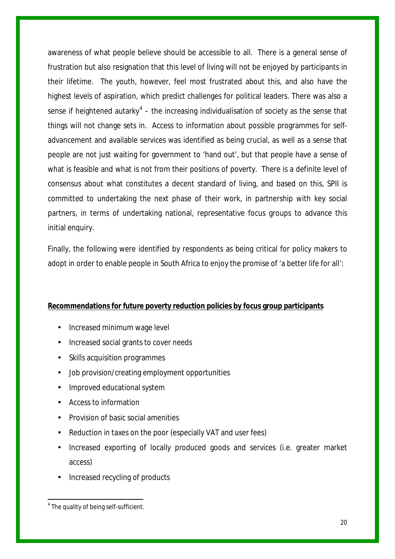awareness of what people believe should be accessible to all. There is a general sense of frustration but also resignation that this level of living will not be enjoyed by participants in their lifetime. The youth, however, feel most frustrated about this, and also have the highest levels of aspiration, which predict challenges for political leaders. There was also a sense if heightened autarky<sup>[4](#page-19-0)</sup> – the increasing individualisation of society as the sense that things will not change sets in. Access to information about possible programmes for selfadvancement and available services was identified as being crucial, as well as a sense that people are not just waiting for government to 'hand out', but that people have a sense of what is feasible and what is not from their positions of poverty. There is a definite level of consensus about what constitutes a decent standard of living, and based on this, SPII is committed to undertaking the next phase of their work, in partnership with key social partners, in terms of undertaking national, representative focus groups to advance this initial enquiry.

Finally, the following were identified by respondents as being critical for policy makers to adopt in order to enable people in South Africa to enjoy the promise of 'a better life for all':

# **Recommendations for future poverty reduction policies by focus group participants**

- Increased minimum wage level
- Increased social grants to cover needs
- Skills acquisition programmes
- Job provision/creating employment opportunities
- Improved educational system
- Access to information
- Provision of basic social amenities
- Reduction in taxes on the poor (especially VAT and user fees)
- Increased exporting of locally produced goods and services (i.e. greater market access)
- Increased recycling of products

<span id="page-19-0"></span><sup>&</sup>lt;sup>4</sup> The quality of being self-sufficient.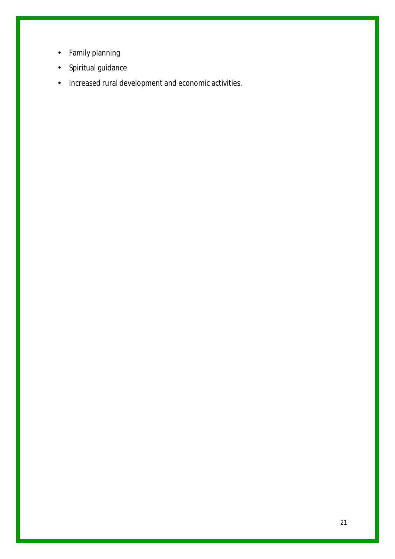- Family planning  $\mathbf{r}$
- Spiritual guidance  $\mathbf{r}$
- Increased rural development and economic activities.